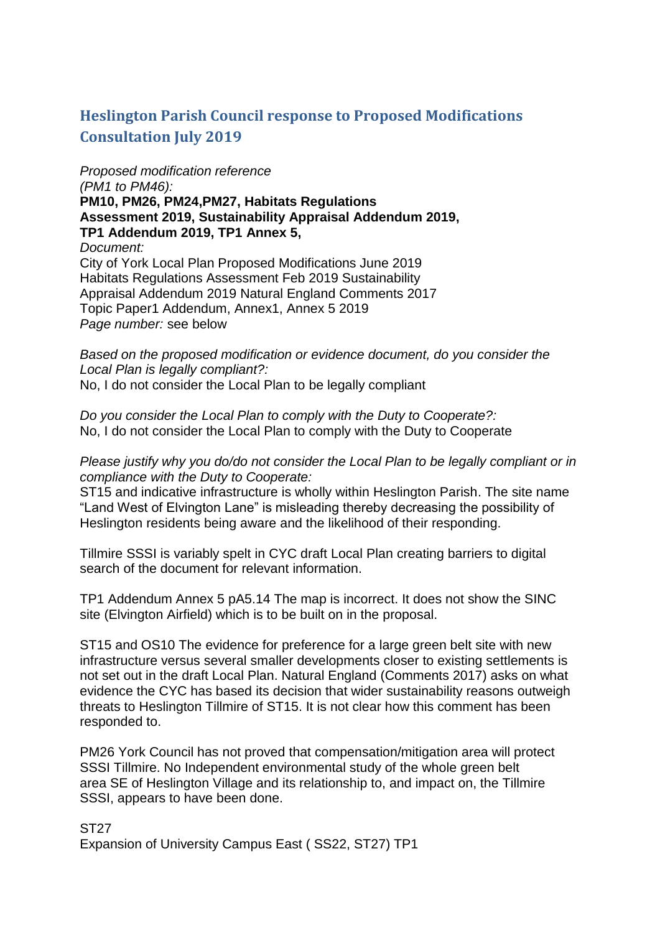# **Heslington Parish Council response to Proposed Modifications Consultation July 2019**

# *Proposed modification reference*

*(PM1 to PM46):* **PM10, PM26, PM24,PM27, Habitats Regulations Assessment 2019, Sustainability Appraisal Addendum 2019, TP1 Addendum 2019, TP1 Annex 5,** *Document:* City of York Local Plan Proposed Modifications June 2019 Habitats Regulations Assessment Feb 2019 Sustainability Appraisal Addendum 2019 Natural England Comments 2017 Topic Paper1 Addendum, Annex1, Annex 5 2019 *Page number:* see below

*Based on the proposed modification or evidence document, do you consider the Local Plan is legally compliant?:* No, I do not consider the Local Plan to be legally compliant

*Do you consider the Local Plan to comply with the Duty to Cooperate?:* No, I do not consider the Local Plan to comply with the Duty to Cooperate

#### *Please justify why you do/do not consider the Local Plan to be legally compliant or in compliance with the Duty to Cooperate:*

ST15 and indicative infrastructure is wholly within Heslington Parish. The site name "Land West of Elvington Lane" is misleading thereby decreasing the possibility of Heslington residents being aware and the likelihood of their responding.

Tillmire SSSI is variably spelt in CYC draft Local Plan creating barriers to digital search of the document for relevant information.

TP1 Addendum Annex 5 pA5.14 The map is incorrect. It does not show the SINC site (Elvington Airfield) which is to be built on in the proposal.

ST15 and OS10 The evidence for preference for a large green belt site with new infrastructure versus several smaller developments closer to existing settlements is not set out in the draft Local Plan. Natural England (Comments 2017) asks on what evidence the CYC has based its decision that wider sustainability reasons outweigh threats to Heslington Tillmire of ST15. It is not clear how this comment has been responded to.

PM26 York Council has not proved that compensation/mitigation area will protect SSSI Tillmire. No Independent environmental study of the whole green belt area SE of Heslington Village and its relationship to, and impact on, the Tillmire SSSI, appears to have been done.

ST27 Expansion of University Campus East ( SS22, ST27) TP1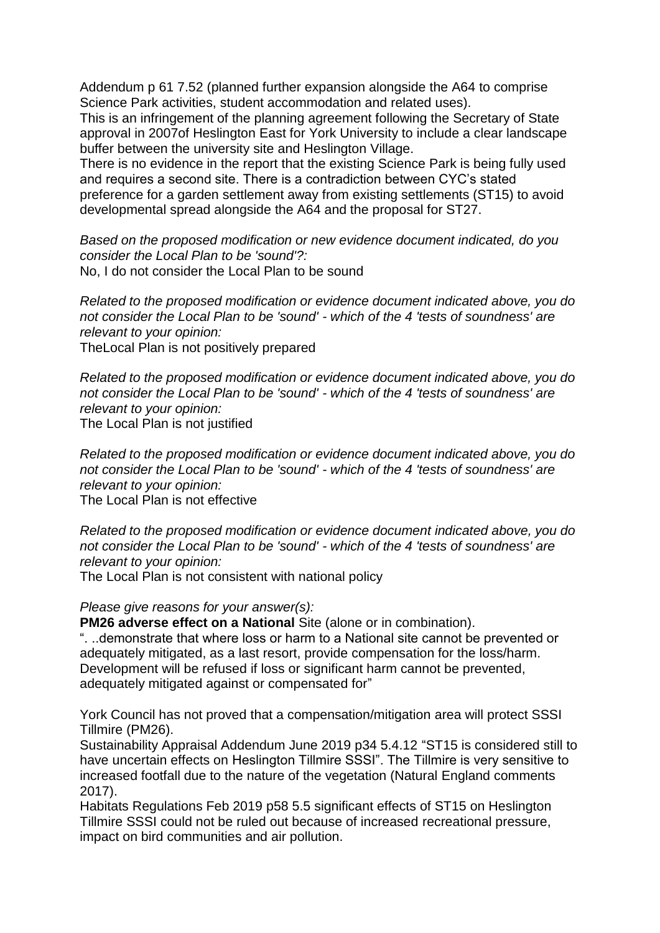Addendum p 61 7.52 (planned further expansion alongside the A64 to comprise Science Park activities, student accommodation and related uses).

This is an infringement of the planning agreement following the Secretary of State approval in 2007of Heslington East for York University to include a clear landscape buffer between the university site and Heslington Village.

There is no evidence in the report that the existing Science Park is being fully used and requires a second site. There is a contradiction between CYC's stated preference for a garden settlement away from existing settlements (ST15) to avoid developmental spread alongside the A64 and the proposal for ST27.

*Based on the proposed modification or new evidence document indicated, do you consider the Local Plan to be 'sound'?:* No, I do not consider the Local Plan to be sound

*Related to the proposed modification or evidence document indicated above, you do not consider the Local Plan to be 'sound' - which of the 4 'tests of soundness' are relevant to your opinion:* TheLocal Plan is not positively prepared

*Related to the proposed modification or evidence document indicated above, you do not consider the Local Plan to be 'sound' - which of the 4 'tests of soundness' are relevant to your opinion:* The Local Plan is not justified

*Related to the proposed modification or evidence document indicated above, you do not consider the Local Plan to be 'sound' - which of the 4 'tests of soundness' are relevant to your opinion:*

The Local Plan is not effective

*Related to the proposed modification or evidence document indicated above, you do not consider the Local Plan to be 'sound' - which of the 4 'tests of soundness' are relevant to your opinion:*

The Local Plan is not consistent with national policy

#### *Please give reasons for your answer(s):*

**PM26 adverse effect on a National Site (alone or in combination).** 

". ..demonstrate that where loss or harm to a National site cannot be prevented or adequately mitigated, as a last resort, provide compensation for the loss/harm. Development will be refused if loss or significant harm cannot be prevented, adequately mitigated against or compensated for"

York Council has not proved that a compensation/mitigation area will protect SSSI Tillmire (PM26).

Sustainability Appraisal Addendum June 2019 p34 5.4.12 "ST15 is considered still to have uncertain effects on Heslington Tillmire SSSI". The Tillmire is very sensitive to increased footfall due to the nature of the vegetation (Natural England comments 2017).

Habitats Regulations Feb 2019 p58 5.5 significant effects of ST15 on Heslington Tillmire SSSI could not be ruled out because of increased recreational pressure, impact on bird communities and air pollution.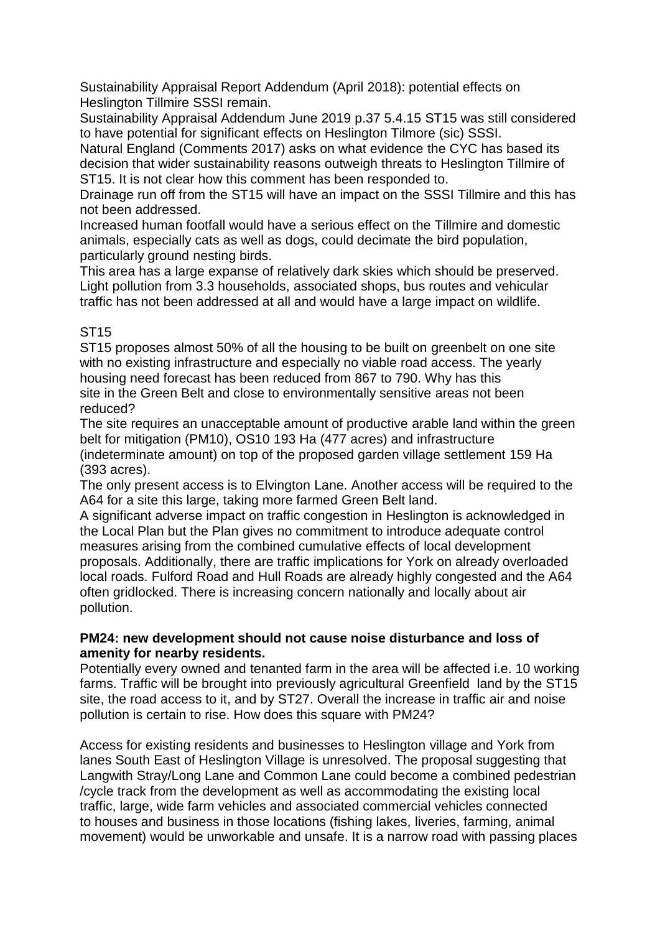Sustainability Appraisal Report Addendum (April 2018): potential effects on Heslington Tillmire SSSI remain.

Sustainability Appraisal Addendum June 2019 p.37 5.4.15 ST15 was still considered to have potential for significant effects on Heslington Tilmore (sic) SSSI.

Natural England (Comments 2017) asks on what evidence the CYC has based its decision that wider sustainability reasons outweigh threats to Heslington Tillmire of ST15. It is not clear how this comment has been responded to.

Drainage run off from the ST15 will have an impact on the SSSI Tillmire and this has not been addressed.

Increased human footfall would have a serious effect on the Tillmire and domestic animals, especially cats as well as dogs, could decimate the bird population, particularly ground nesting birds.

This area has a large expanse of relatively dark skies which should be preserved. Light pollution from 3.3 households, associated shops, bus routes and vehicular traffic has not been addressed at all and would have a large impact on wildlife.

# ST15

ST15 proposes almost 50% of all the housing to be built on greenbelt on one site with no existing infrastructure and especially no viable road access. The yearly housing need forecast has been reduced from 867 to 790. Why has this site in the Green Belt and close to environmentally sensitive areas not been reduced?

The site requires an unacceptable amount of productive arable land within the green belt for mitigation (PM10), OS10 193 Ha (477 acres) and infrastructure (indeterminate amount) on top of the proposed garden village settlement 159 Ha (393 acres).

The only present access is to Elvington Lane. Another access will be required to the A64 for a site this large, taking more farmed Green Belt land.

A significant adverse impact on traffic congestion in Heslington is acknowledged in the Local Plan but the Plan gives no commitment to introduce adequate control measures arising from the combined cumulative effects of local development proposals. Additionally, there are traffic implications for York on already overloaded local roads. Fulford Road and Hull Roads are already highly congested and the A64 often gridlocked. There is increasing concern nationally and locally about air pollution.

### **PM24: new development should not cause noise disturbance and loss of amenity for nearby residents.**

Potentially every owned and tenanted farm in the area will be affected i.e. 10 working farms. Traffic will be brought into previously agricultural Greenfield land by the ST15 site, the road access to it, and by ST27. Overall the increase in traffic air and noise pollution is certain to rise. How does this square with PM24?

Access for existing residents and businesses to Heslington village and York from lanes South East of Heslington Village is unresolved. The proposal suggesting that Langwith Stray/Long Lane and Common Lane could become a combined pedestrian /cycle track from the development as well as accommodating the existing local traffic, large, wide farm vehicles and associated commercial vehicles connected to houses and business in those locations (fishing lakes, liveries, farming, animal movement) would be unworkable and unsafe. It is a narrow road with passing places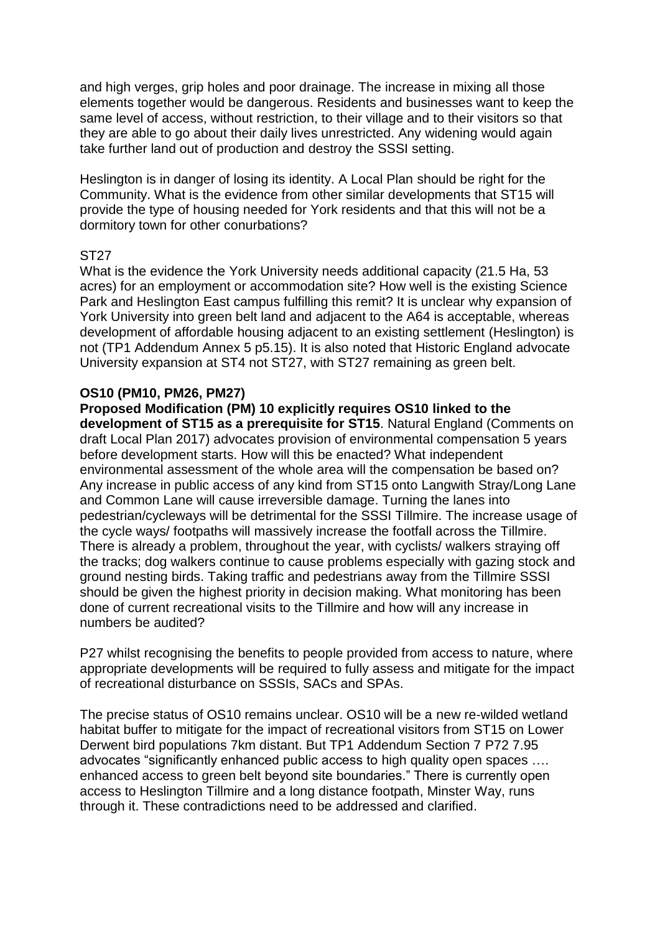and high verges, grip holes and poor drainage. The increase in mixing all those elements together would be dangerous. Residents and businesses want to keep the same level of access, without restriction, to their village and to their visitors so that they are able to go about their daily lives unrestricted. Any widening would again take further land out of production and destroy the SSSI setting.

Heslington is in danger of losing its identity. A Local Plan should be right for the Community. What is the evidence from other similar developments that ST15 will provide the type of housing needed for York residents and that this will not be a dormitory town for other conurbations?

### ST27

What is the evidence the York University needs additional capacity (21.5 Ha, 53 acres) for an employment or accommodation site? How well is the existing Science Park and Heslington East campus fulfilling this remit? It is unclear why expansion of York University into green belt land and adjacent to the A64 is acceptable, whereas development of affordable housing adjacent to an existing settlement (Heslington) is not (TP1 Addendum Annex 5 p5.15). It is also noted that Historic England advocate University expansion at ST4 not ST27, with ST27 remaining as green belt.

## **OS10 (PM10, PM26, PM27)**

**Proposed Modification (PM) 10 explicitly requires OS10 linked to the development of ST15 as a prerequisite for ST15**. Natural England (Comments on draft Local Plan 2017) advocates provision of environmental compensation 5 years before development starts. How will this be enacted? What independent environmental assessment of the whole area will the compensation be based on? Any increase in public access of any kind from ST15 onto Langwith Stray/Long Lane and Common Lane will cause irreversible damage. Turning the lanes into pedestrian/cycleways will be detrimental for the SSSI Tillmire. The increase usage of the cycle ways/ footpaths will massively increase the footfall across the Tillmire. There is already a problem, throughout the year, with cyclists/ walkers straying off the tracks; dog walkers continue to cause problems especially with gazing stock and ground nesting birds. Taking traffic and pedestrians away from the Tillmire SSSI should be given the highest priority in decision making. What monitoring has been done of current recreational visits to the Tillmire and how will any increase in numbers be audited?

P27 whilst recognising the benefits to people provided from access to nature, where appropriate developments will be required to fully assess and mitigate for the impact of recreational disturbance on SSSIs, SACs and SPAs.

The precise status of OS10 remains unclear. OS10 will be a new re-wilded wetland habitat buffer to mitigate for the impact of recreational visitors from ST15 on Lower Derwent bird populations 7km distant. But TP1 Addendum Section 7 P72 7.95 advocates "significantly enhanced public access to high quality open spaces …. enhanced access to green belt beyond site boundaries." There is currently open access to Heslington Tillmire and a long distance footpath, Minster Way, runs through it. These contradictions need to be addressed and clarified.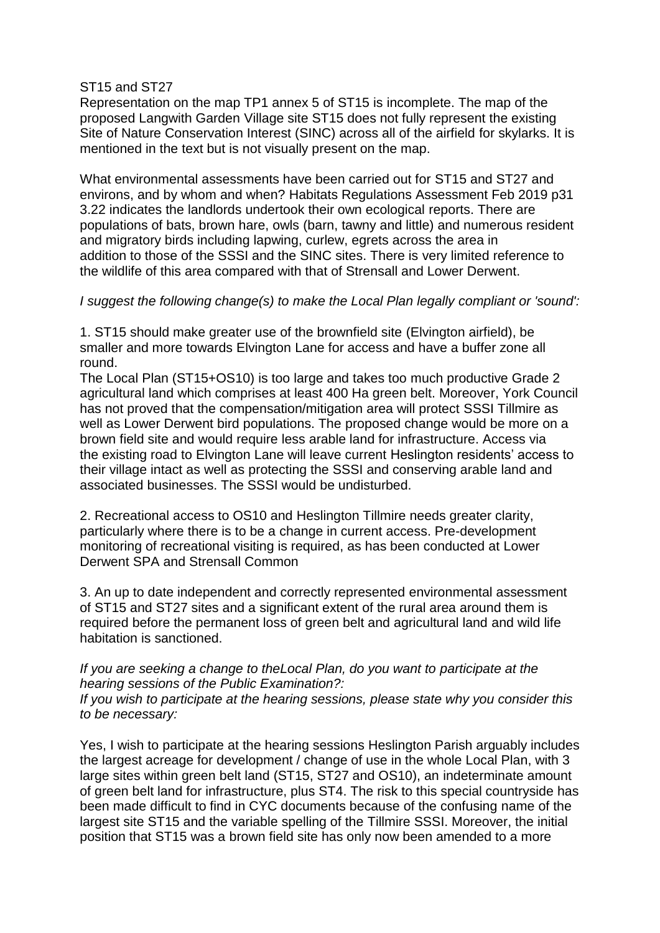#### ST15 and ST27

Representation on the map TP1 annex 5 of ST15 is incomplete. The map of the proposed Langwith Garden Village site ST15 does not fully represent the existing Site of Nature Conservation Interest (SINC) across all of the airfield for skylarks. It is mentioned in the text but is not visually present on the map.

What environmental assessments have been carried out for ST15 and ST27 and environs, and by whom and when? Habitats Regulations Assessment Feb 2019 p31 3.22 indicates the landlords undertook their own ecological reports. There are populations of bats, brown hare, owls (barn, tawny and little) and numerous resident and migratory birds including lapwing, curlew, egrets across the area in addition to those of the SSSI and the SINC sites. There is very limited reference to the wildlife of this area compared with that of Strensall and Lower Derwent.

### *I suggest the following change(s) to make the Local Plan legally compliant or 'sound':*

1. ST15 should make greater use of the brownfield site (Elvington airfield), be smaller and more towards Elvington Lane for access and have a buffer zone all round.

The Local Plan (ST15+OS10) is too large and takes too much productive Grade 2 agricultural land which comprises at least 400 Ha green belt. Moreover, York Council has not proved that the compensation/mitigation area will protect SSSI Tillmire as well as Lower Derwent bird populations. The proposed change would be more on a brown field site and would require less arable land for infrastructure. Access via the existing road to Elvington Lane will leave current Heslington residents' access to their village intact as well as protecting the SSSI and conserving arable land and associated businesses. The SSSI would be undisturbed.

2. Recreational access to OS10 and Heslington Tillmire needs greater clarity, particularly where there is to be a change in current access. Pre-development monitoring of recreational visiting is required, as has been conducted at Lower Derwent SPA and Strensall Common

3. An up to date independent and correctly represented environmental assessment of ST15 and ST27 sites and a significant extent of the rural area around them is required before the permanent loss of green belt and agricultural land and wild life habitation is sanctioned.

### *If you are seeking a change to theLocal Plan, do you want to participate at the hearing sessions of the Public Examination?:*

*If you wish to participate at the hearing sessions, please state why you consider this to be necessary:*

Yes, I wish to participate at the hearing sessions Heslington Parish arguably includes the largest acreage for development / change of use in the whole Local Plan, with 3 large sites within green belt land (ST15, ST27 and OS10), an indeterminate amount of green belt land for infrastructure, plus ST4. The risk to this special countryside has been made difficult to find in CYC documents because of the confusing name of the largest site ST15 and the variable spelling of the Tillmire SSSI. Moreover, the initial position that ST15 was a brown field site has only now been amended to a more